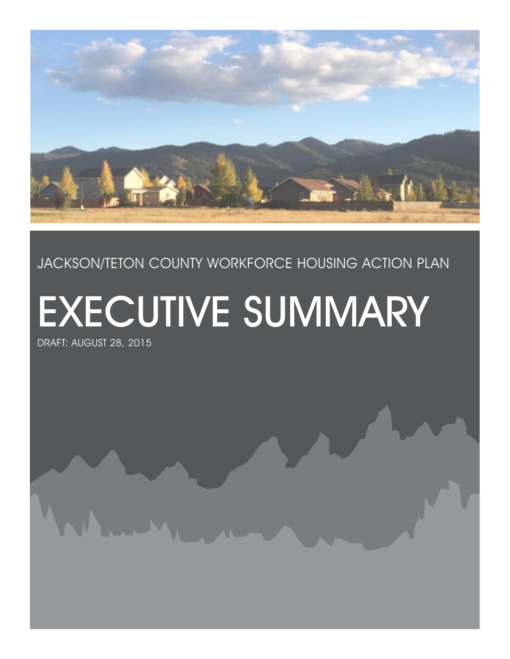

### Jackson/TETON COUNTY WORKFORCE HOUSING ACTION PLAN

# EXECUTIVE SUMMARY

DRAFT: August 28, 2015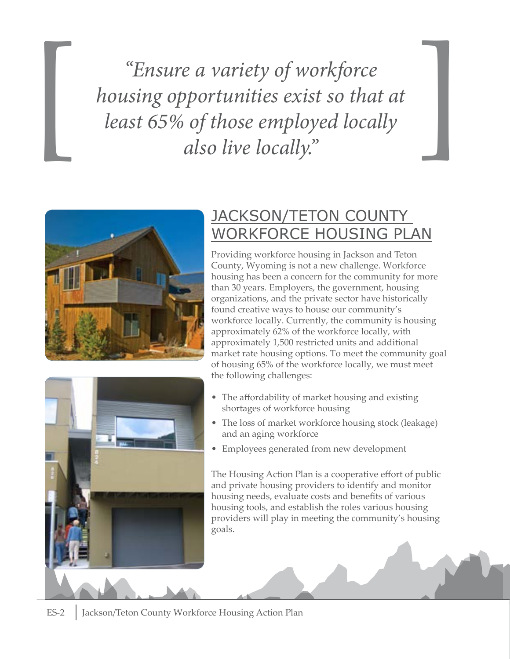*"Ensure a variety of workforce housing opportunities exist so that at*  <sup>*leasure a variety of workforce*<br> *least 65% of those employed locally*<br> *also live locally.*"</sup>





### Jackson/Teton County Workforce Housing Plan

Providing workforce housing in Jackson and Teton County, Wyoming is not a new challenge. Workforce housing has been a concern for the community for more than 30 years. Employers, the government, housing organizations, and the private sector have historically found creative ways to house our community's workforce locally. Currently, the community is housing approximately 62% of the workforce locally, with approximately 1,500 restricted units and additional market rate housing options. To meet the community goal of housing 65% of the workforce locally, we must meet the following challenges:

- The affordability of market housing and existing shortages of workforce housing
- The loss of market workforce housing stock (leakage) and an aging workforce
- • Employees generated from new development

The Housing Action Plan is a cooperative effort of public and private housing providers to identify and monitor housing needs, evaluate costs and benefits of various housing tools, and establish the roles various housing providers will play in meeting the community's housing goals.

ES-2 | Jackson/Teton County Workforce Housing Action Plan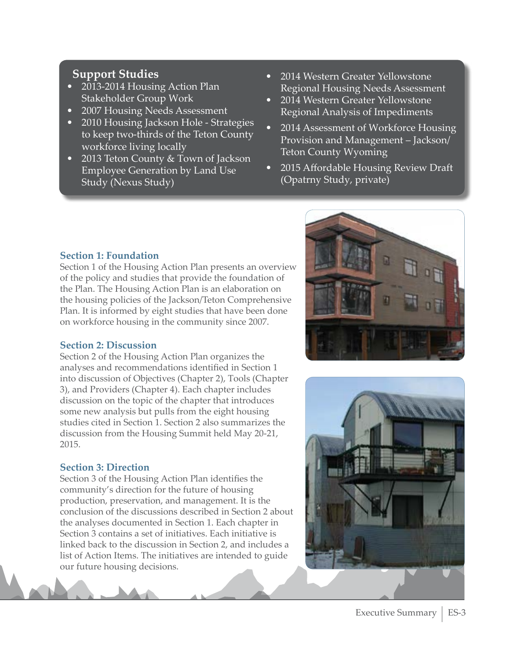#### **Support Studies**

- 2013-2014 Housing Action Plan Stakeholder Group Work
- 2007 Housing Needs Assessment
- **2010 Housing Jackson Hole Strategies** to keep two-thirds of the Teton County workforce living locally
- 2013 Teton County & Town of Jackson Employee Generation by Land Use Study (Nexus Study)
- 2014 Western Greater Yellowstone Regional Housing Needs Assessment
- 2014 Western Greater Yellowstone Regional Analysis of Impediments
- 2014 Assessment of Workforce Housing Provision and Management – Jackson/ Teton County Wyoming
- 2015 Affordable Housing Review Draft (Opatrny Study, private)





#### **Section 1: Foundation**

Section 1 of the Housing Action Plan presents an overview of the policy and studies that provide the foundation of the Plan. The Housing Action Plan is an elaboration on the housing policies of the Jackson/Teton Comprehensive Plan. It is informed by eight studies that have been done on workforce housing in the community since 2007.

#### **Section 2: Discussion**

Section 2 of the Housing Action Plan organizes the analyses and recommendations identified in Section 1 into discussion of Objectives (Chapter 2), Tools (Chapter 3), and Providers (Chapter 4). Each chapter includes discussion on the topic of the chapter that introduces some new analysis but pulls from the eight housing studies cited in Section 1. Section 2 also summarizes the discussion from the Housing Summit held May 20-21, 2015.

#### **Section 3: Direction**

Section 3 of the Housing Action Plan identifies the community's direction for the future of housing production, preservation, and management. It is the conclusion of the discussions described in Section 2 about the analyses documented in Section 1. Each chapter in Section 3 contains a set of initiatives. Each initiative is linked back to the discussion in Section 2, and includes a list of Action Items. The initiatives are intended to guide our future housing decisions.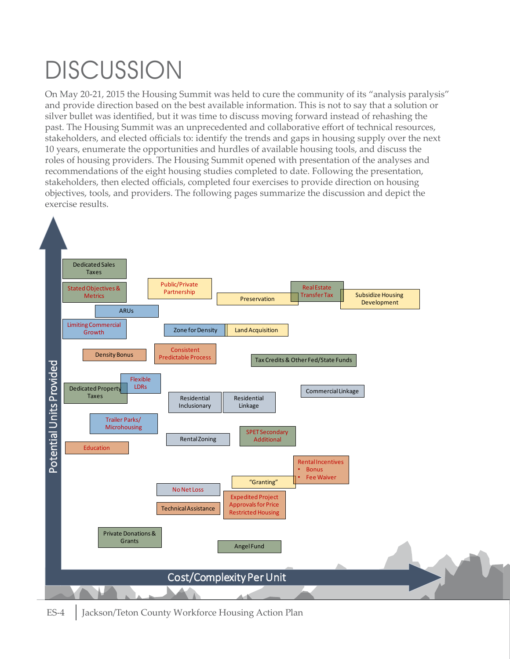# **DISCUSSION**

On May 20-21, 2015 the Housing Summit was held to cure the community of its "analysis paralysis" and provide direction based on the best available information. This is not to say that a solution or silver bullet was identified, but it was time to discuss moving forward instead of rehashing the past. The Housing Summit was an unprecedented and collaborative effort of technical resources, stakeholders, and elected officials to: identify the trends and gaps in housing supply over the next 10 years, enumerate the opportunities and hurdles of available housing tools, and discuss the roles of housing providers. The Housing Summit opened with presentation of the analyses and recommendations of the eight housing studies completed to date. Following the presentation, stakeholders, then elected officials, completed four exercises to provide direction on housing objectives, tools, and providers. The following pages summarize the discussion and depict the exercise results.

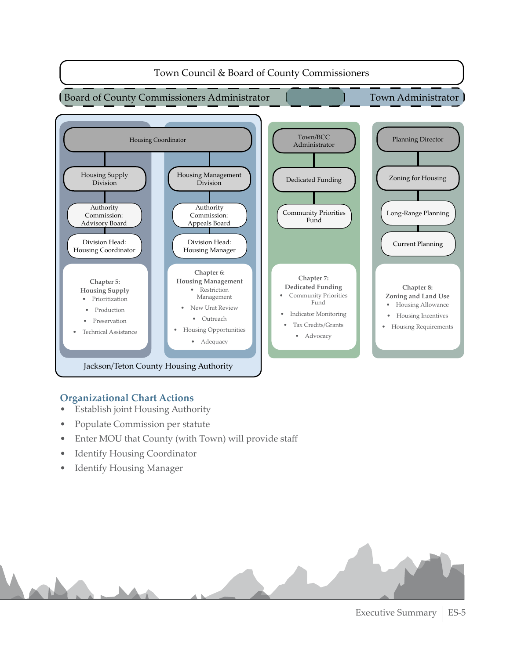

#### **Organizational Chart Actions**

- • Establish joint Housing Authority
- Populate Commission per statute
- Enter MOU that County (with Town) will provide staff
- Identify Housing Coordinator
- Identify Housing Manager

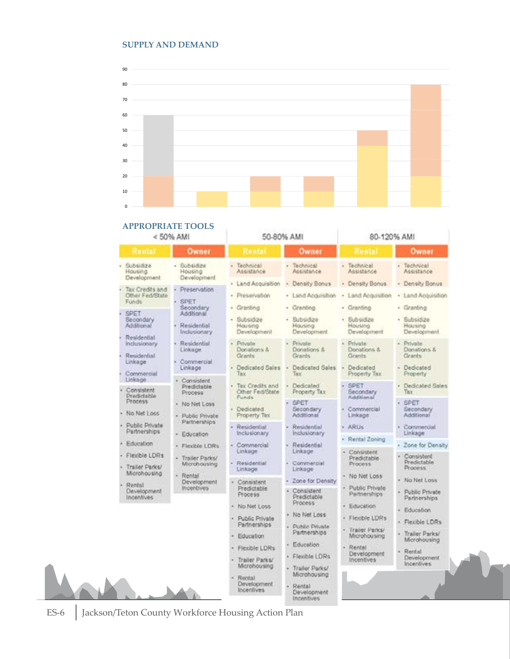#### **SUPPLY AND DEMAND**



|                           |                                            | <b>APPROPRIATE TOOLS</b><br>< 50% AMI                 |                                                            | 50-80% AMI                                                | 80-120% AMI                                         |                                                          |
|---------------------------|--------------------------------------------|-------------------------------------------------------|------------------------------------------------------------|-----------------------------------------------------------|-----------------------------------------------------|----------------------------------------------------------|
|                           | Rental                                     | Owner                                                 | Rental                                                     | Owner                                                     | Rental                                              | Owner                                                    |
| Subsidize<br>Housing      | Development.                               | $-$ Subsidize<br>Housing<br>Development               | · Technical<br>Assistance                                  | - Technical<br>Assistance                                 | - Technical<br>Assistance                           | · Technical<br>Assistance                                |
| Funds                     | Tax Credits and<br>Other Fed/State         | Preservation<br>SPET                                  | · Land Acquisition<br>· Preservation                       | - Density Bonus<br>· Land Acquisition                     | · Density Bonus<br>· Land Acquisition               | - Density Bonus<br>· Land Acquisition                    |
| <b>SPET</b><br>Additional | Secondary                                  | Secondary<br>Additional<br>Residential<br>Indusionary | · Granting<br>· Subsidize<br>Housing<br>Development        | - Granting<br>· Subsidize<br>Housing<br>Development       | · Granting<br>· Subsidize<br>Housing<br>Development | - Granting<br>· Subsidize<br>Housing<br>Development      |
| Linkage                   | Residential<br>Inclusionary<br>Residential | Residential<br>Linkage<br>Commercial                  | - Private<br>Donations &<br>Grants                         | ÷<br>Private<br>Donations &<br>Grants.                    | Private<br>Donations &<br>Grants:                   | - Private<br>Donations &<br>Grants <sup>:</sup>          |
| Linksge                   | Commercial                                 | Linkage.                                              | Dedicated Sales<br>Tank                                    | Dedicated Sales<br>Titoc                                  | Dedicated<br>Property Tax.                          | - Dedicated<br><b>Property</b>                           |
|                           | Consistent<br>Predictable                  | Consistent<br>Predictable<br>Process                  | Tax Credits and<br>Other Fed/State<br>Funds                | Dedicated<br>Property Tax                                 | SPET.<br>Secondary<br>Additional                    | · Dedicated Sales<br>Tacc                                |
| Process.                  | No Net Loss                                | · No Net Loss<br>· Public Private                     | Dedicated<br>Property Tax                                  | SPET<br>Secondary<br>Additional                           | Commercial<br>Linkage                               | $-$ SPET<br>Gecondary<br>Additional                      |
|                           | Public Private<br>Partnerships             | Partnerships<br>· Education                           | Residential<br>Inclusionary                                | Residential<br>Inclusionary                               | - ARUs                                              | Commercial<br>Linksge                                    |
|                           | Education<br>Flexible LDRs                 | · Flexible LDRs                                       | - Commercial<br>Linkage                                    | Residential<br>Linkage                                    | Rental Zoning<br>Consistent<br>a)                   | Zone for Density                                         |
|                           | Trailer Parks/<br>Microhousing             | · Trailer Parks/<br>Microhousing                      | Residential<br>Linkage                                     | Commercial<br>Linkage                                     | Predictable<br>Process                              | - Consistent<br>Predictable<br>Process                   |
| Rental                    | Development<br><b>Incentives</b>           | · Rental<br>Development<br>Incentives                 | Consistent<br>Predictable<br>Process                       | Zone for Density<br>Consistent<br>Predictable             | - No Net Loss<br>Public Private<br>Partnerships:    | No Net Loss<br>Public Private<br>Partnerships            |
|                           |                                            |                                                       | No Net Loss<br>Public Private                              | Process<br>· No Net Loss                                  | · Education<br>· Flexible LDRs                      | Education                                                |
|                           |                                            |                                                       | Partnerships<br>Education                                  | Public Private<br>Partnerships                            | Trailer Parks/<br>Microhousing                      | Flexible LDRs<br>Trailer Parks/                          |
|                           |                                            |                                                       | Flexible LDRs<br>Trailer Parks/                            | Education<br>· Flexible LDRs                              | - Rental<br>Development<br>Incentives               | Microhousing<br>Rental<br>¥<br>Development<br>Incentives |
|                           |                                            |                                                       | Microhousing<br>Rental<br>Development<br><b>Incentives</b> | · Trailer Parks/<br>Microhousing<br>Rental<br>Development |                                                     |                                                          |

Rental<br>Development<br>Incentives

ES-6 Jackson/Teton County Workforce Housing Action Plan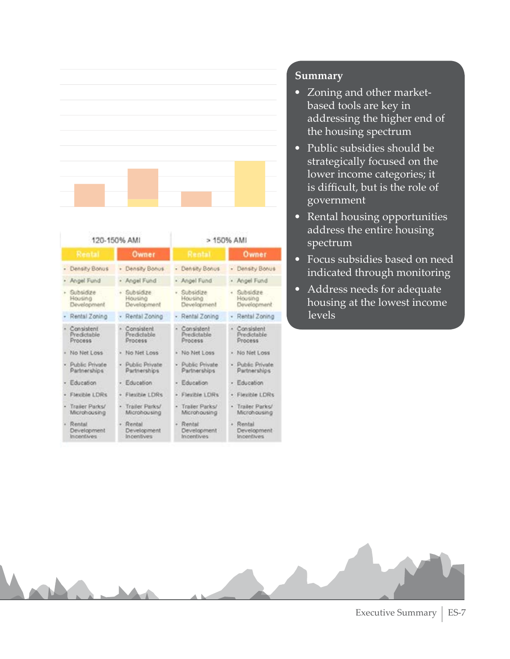

| 120-150% AMI                               |   |                                       | > 150% AMI                            |       |                                        |
|--------------------------------------------|---|---------------------------------------|---------------------------------------|-------|----------------------------------------|
| Rental                                     |   | Owner                                 | Rental                                |       | Owner                                  |
| - Density Bonus                            |   | · Density Bonus                       | - Density Bonus                       | $\pi$ | Density Bonus                          |
| - Angel Fund                               |   | · Angel Fund                          | - Angel Fund                          |       | - Angel Fund                           |
| + Subsidize<br>Housing<br>Development      |   | + Subsidize<br>Housing<br>Development | · Subsidize<br>Housing<br>Development | $+$   | Subsidize<br>Housing<br>Development    |
| Rental Zoning                              |   | · Rental Zoning                       | Rental Zoning                         |       | Rental Zoning                          |
| Consistent<br>Predictable<br>Process       |   | Consistent<br>Predictable<br>Process  | Consistent<br>Predictable<br>Process  |       | · Consistent<br>Predictable<br>Process |
| No Net Loss                                |   | · No Net Loss                         | + No Net Loss                         |       | · No Net Loss                          |
| Public Private<br>Partnerships             |   | · Public Private<br>Partnerships:     | · Public Private<br>Partnerships      |       | · Public Private<br>Partnerships       |
| Education                                  |   | Education                             | Education                             |       | Education                              |
| <b>Flexible LDRs</b>                       | × | Flexible LDRs                         | Flexible LDRs                         |       | · Flexible LDRs                        |
| Trailer Parks/<br>Microhousing             |   | · Trailer Parks/<br>Microhousing      | Trailer Parks/<br>Microhousing        |       | · Trailer Parks/<br>Microhousing       |
| Rental<br><b>Development</b><br>Incentives |   | Rental<br>Development<br>Incentives   | Rental<br>Development<br>Incentives   | ×     | Rental<br>Development<br>Incentives    |

#### **Summary**

- • Zoning and other marketbased tools are key in addressing the higher end of the housing spectrum
- Public subsidies should be strategically focused on the lower income categories; it is difficult, but is the role of government
- Rental housing opportunities address the entire housing spectrum
- Focus subsidies based on need indicated through monitoring
- Address needs for adequate housing at the lowest income levels

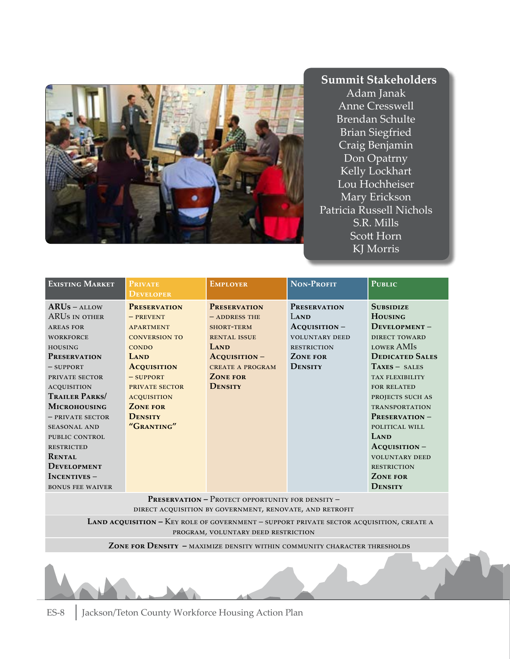

#### **Summit Stakeholders**

Adam Janak Anne Cresswell Brendan Schulte Brian Siegfried Craig Benjamin Don Opatrny Kelly Lockhart Lou Hochheiser Mary Erickson Patricia Russell Nichols S.R. Mills Scott Horn KJ Morris

| <b>EXISTING MARKET</b>                                                                                                                                                                                                                                                                                                                                                                         | PRIVATE<br><b>DEVELOPER</b>                                                                                                                                                                                                            | <b>EMPLOYER</b>                                                                                                                                                       | NON-PROFIT                                                                                                                  | <b>PUBLIC</b>                                                                                                                                                                                                                                                                                                                                                                     |
|------------------------------------------------------------------------------------------------------------------------------------------------------------------------------------------------------------------------------------------------------------------------------------------------------------------------------------------------------------------------------------------------|----------------------------------------------------------------------------------------------------------------------------------------------------------------------------------------------------------------------------------------|-----------------------------------------------------------------------------------------------------------------------------------------------------------------------|-----------------------------------------------------------------------------------------------------------------------------|-----------------------------------------------------------------------------------------------------------------------------------------------------------------------------------------------------------------------------------------------------------------------------------------------------------------------------------------------------------------------------------|
| $ARUs - ALLOW$<br>ARUS IN OTHER<br><b>AREAS FOR</b><br><b>WORKFORCE</b><br><b>HOUSING</b><br><b>PRESERVATION</b><br>$-$ SUPPORT<br>PRIVATE SECTOR<br><b>ACQUISITION</b><br><b>TRAILER PARKS</b><br><b>MICROHOUSING</b><br>$-$ PRIVATE SECTOR<br><b>SEASONAL AND</b><br>PUBLIC CONTROL<br><b>RESTRICTED</b><br><b>RENTAL</b><br><b>DEVELOPMENT</b><br>$INCENTIVES -$<br><b>BONUS FEE WAIVER</b> | <b>PRESERVATION</b><br>$-$ PREVENT<br><b>APARTMENT</b><br><b>CONVERSION TO</b><br><b>CONDO</b><br>LAND<br><b>ACQUISITION</b><br>$-$ SUPPORT<br>PRIVATE SECTOR<br><b>ACQUISITION</b><br><b>ZONE FOR</b><br><b>DENSITY</b><br>"GRANTING" | <b>PRESERVATION</b><br>$-$ ADDRESS THE<br><b>SHORT-TERM</b><br><b>RENTAL ISSUE</b><br>LAND<br>$Acquisition-$<br><b>CREATE A PROGRAM</b><br><b>ZONE FOR</b><br>DENSITY | <b>PRESERVATION</b><br>LAND<br>$Acquisttion -$<br><b>VOLUNTARY DEED</b><br><b>RESTRICTION</b><br><b>ZONE FOR</b><br>DENSITY | <b>SUBSIDIZE</b><br><b>HOUSING</b><br>$D$ EVELOPMENT –<br><b>DIRECT TOWARD</b><br><b>LOWER AMIS</b><br><b>DEDICATED SALES</b><br>$TAXES - SALES$<br>TAX FLEXIBILITY<br><b>FOR RELATED</b><br>PROJECTS SUCH AS<br><b>TRANSPORTATION</b><br>PRESERVATION-<br>POLITICAL WILL<br>LAND<br>$AcoustITION -$<br><b>VOLUNTARY DEED</b><br><b>RESTRICTION</b><br><b>ZONE FOR</b><br>DENSITY |

PRESERVATION – PROTECT OPPORTUNITY FOR DENSITY – direct acquisition by government, renovate, and retrofit

 **Land acquisition –** Key role of government – support private sector acquisition, create a program, voluntary deed restriction

 **Zone for Density –** maximize density within community character thresholds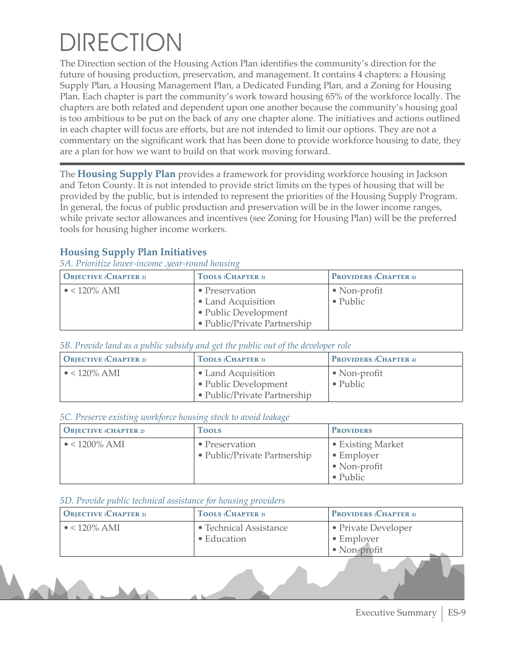# **DIRECTION**

The Direction section of the Housing Action Plan identifies the community's direction for the future of housing production, preservation, and management. It contains 4 chapters: a Housing Supply Plan, a Housing Management Plan, a Dedicated Funding Plan, and a Zoning for Housing Plan. Each chapter is part the community's work toward housing 65% of the workforce locally. The chapters are both related and dependent upon one another because the community's housing goal is too ambitious to be put on the back of any one chapter alone. The initiatives and actions outlined in each chapter will focus are efforts, but are not intended to limit our options. They are not a commentary on the significant work that has been done to provide workforce housing to date, they are a plan for how we want to build on that work moving forward.

The **Housing Supply Plan** provides a framework for providing workforce housing in Jackson and Teton County. It is not intended to provide strict limits on the types of housing that will be provided by the public, but is intended to represent the priorities of the Housing Supply Program. In general, the focus of public production and preservation will be in the lower income ranges, while private sector allowances and incentives (see Zoning for Housing Plan) will be the preferred tools for housing higher income workers.

#### **Housing Supply Plan Initiatives**

*5A. Prioritize lower-income ,year-round housing* 

| <b>OBJECTIVE (CHAPTER 2)</b> | TOOLS (CHAPTER 3)                                                                            | <b>PROVIDERS (CHAPTER 4)</b>             |
|------------------------------|----------------------------------------------------------------------------------------------|------------------------------------------|
| $\bullet$ < 120% AMI         | • Preservation<br>• Land Acquisition<br>• Public Development<br>• Public/Private Partnership | $\bullet$ Non-profit<br>$\bullet$ Public |

*5B. Provide land as a public subsidy and get the public out of the developer role*

| $\bigcup$ Objective (Chapter 2) | TOOLS (CHAPTER 3)                                                          | <b>PROVIDERS (CHAPTER 4)</b>             |
|---------------------------------|----------------------------------------------------------------------------|------------------------------------------|
| $\bullet$ < 120% AMI            | • Land Acquisition<br>• Public Development<br>• Public/Private Partnership | $\bullet$ Non-profit<br>$\bullet$ Public |

#### *5C. Preserve existing workforce housing stock to avoid leakage*

| <b>OBJECTIVE (CHAPTER 2)</b> | <b>Tools</b>                                           | <b>PROVIDERS</b>                                                                    |
|------------------------------|--------------------------------------------------------|-------------------------------------------------------------------------------------|
| $\bullet$ < 1200% AMI        | $\bullet$ Preservation<br>• Public/Private Partnership | • Existing Market<br>$\bullet$ Employer<br>$\bullet$ Non-profit<br>$\bullet$ Public |

#### *5D. Provide public technical assistance for housing providers*

| <b>OBJECTIVE</b> (CHAPTER 2) | <b>TOOLS (CHAPTER 3)</b> | <b>PROVIDERS (CHAPTER 4)</b> |
|------------------------------|--------------------------|------------------------------|
| $\bullet$ < 120% AMI         | • Technical Assistance   | • Private Developer          |
|                              | • Education              | $\bullet$ Employer           |
|                              |                          | · Non-profit                 |
|                              |                          |                              |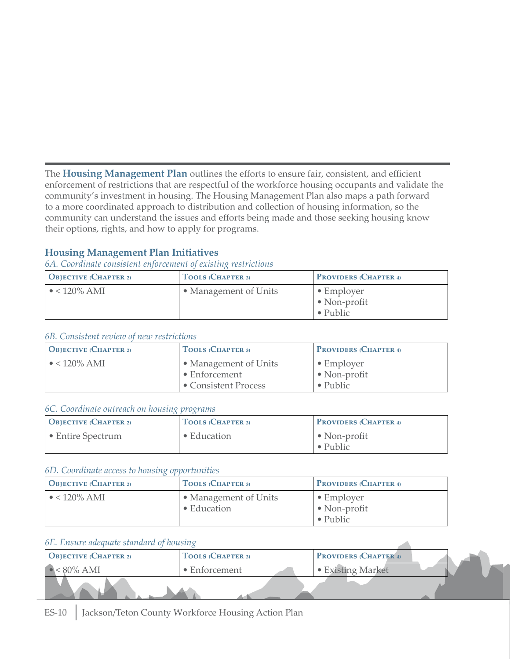The **Housing Management Plan** outlines the efforts to ensure fair, consistent, and efficient enforcement of restrictions that are respectful of the workforce housing occupants and validate the community's investment in housing. The Housing Management Plan also maps a path forward to a more coordinated approach to distribution and collection of housing information, so the community can understand the issues and efforts being made and those seeking housing know their options, rights, and how to apply for programs.

#### **Housing Management Plan Initiatives**

*6A. Coordinate consistent enforcement of existing restrictions*

| $\bigcup$ Objective (Chapter 2) | TOOLS (CHAPTER 3)     | <b>PROVIDERS (CHAPTER 4)</b>                                   |
|---------------------------------|-----------------------|----------------------------------------------------------------|
| $\bullet$ < 120% AMI            | • Management of Units | $\bullet$ Employer<br>$\bullet$ Non-profit<br>$\bullet$ Public |

#### *6B. Consistent review of new restrictions*

| <b>OBJECTIVE (CHAPTER 2)</b> | TOOLS (CHAPTER 3)                                              | <b>PROVIDERS (CHAPTER 4)</b>                                   |
|------------------------------|----------------------------------------------------------------|----------------------------------------------------------------|
| $\bullet$ < 120% AMI         | • Management of Units<br>• Enforcement<br>• Consistent Process | $\bullet$ Employer<br>$\bullet$ Non-profit<br>$\bullet$ Public |

#### *6C. Coordinate outreach on housing programs*

| O <sub>BIECTIVE</sub> (CHAPTER 2) | TOOLS (CHAPTER 3) | <b>PROVIDERS (CHAPTER 4)</b>             |
|-----------------------------------|-------------------|------------------------------------------|
| • Entire Spectrum                 | • Education       | $\bullet$ Non-profit<br>$\bullet$ Public |

#### *6D. Coordinate access to housing opportunities*

| $\bigcup$ Objective (Chapter 2) | TOOLS (CHAPTER 3)                            | <b>PROVIDERS (CHAPTER 4)</b>                                   |
|---------------------------------|----------------------------------------------|----------------------------------------------------------------|
| $\bullet$ < 120% AMI            | • Management of Units<br>$\bullet$ Education | $\bullet$ Employer<br>$\bullet$ Non-profit<br>$\bullet$ Public |

#### *6E. Ensure adequate standard of housing*

| <b>OBJECTIVE</b> (CHAPTER 2) | TOOLS (CHAPTER 3)     | <b>PROVIDERS (CHAPTER 4)</b> |  |
|------------------------------|-----------------------|------------------------------|--|
| 80% AMI                      | $\bullet$ Enforcement | • Existing Market            |  |
|                              |                       |                              |  |

 $\mathcal{A}$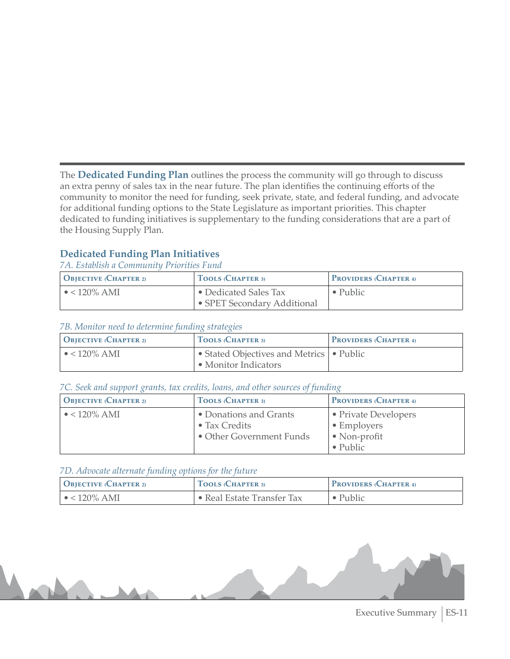The **Dedicated Funding Plan** outlines the process the community will go through to discuss an extra penny of sales tax in the near future. The plan identifies the continuing efforts of the community to monitor the need for funding, seek private, state, and federal funding, and advocate for additional funding options to the State Legislature as important priorities. This chapter dedicated to funding initiatives is supplementary to the funding considerations that are a part of the Housing Supply Plan.

#### **Dedicated Funding Plan Initiatives**

*7A. Establish a Community Priorities Fund*

| $\bigcup$ Objective (Chapter 2) | TOOLS (CHAPTER 3)                                    | <b>PROVIDERS (CHAPTER 4)</b> |
|---------------------------------|------------------------------------------------------|------------------------------|
| $\bullet$ < 120% AMI            | • Dedicated Sales Tax<br>• SPET Secondary Additional | $\bullet$ Public             |

#### *7B. Monitor need to determine funding strategies*

| $\overline{O}$ BJECTIVE (CHAPTER 2) | <b>TOOLS (CHAPTER 3)</b>                 | <b>PROVIDERS (CHAPTER 4)</b> |
|-------------------------------------|------------------------------------------|------------------------------|
| $\bullet$ < 120% AMI                | Grated Objectives and Metrics   • Public |                              |
|                                     | • Monitor Indicators                     |                              |

#### *7C. Seek and support grants, tax credits, loans, and other sources of funding*

| <b>OBJECTIVE (CHAPTER 2)</b> | TOOLS (CHAPTER 3)        | <b>PROVIDERS (CHAPTER 4)</b> |
|------------------------------|--------------------------|------------------------------|
| $\bullet$ < 120% AMI         | • Donations and Grants   | • Private Developers         |
|                              | • Tax Credits            | • Employers                  |
|                              | • Other Government Funds | • Non-profit                 |
|                              |                          | $\bullet$ Public             |

#### *7D. Advocate alternate funding options for the future*

| $\overline{O}$ BJECTIVE (CHAPTER 2) | <sup>I</sup> TOOLS (CHAPTER 3) | <b>PROVIDERS</b> (CHAPTER 4) |
|-------------------------------------|--------------------------------|------------------------------|
| $\bullet$ < 120% AMI                | • Real Estate Transfer Tax     | $\bullet$ Public             |